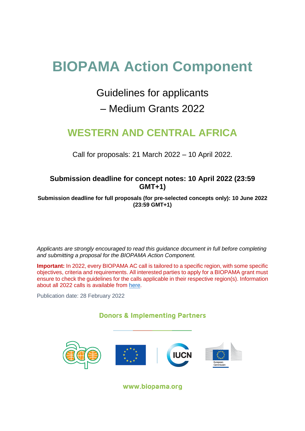# **BIOPAMA Action Component**

# Guidelines for applicants

# – Medium Grants 2022

# **WESTERN AND CENTRAL AFRICA**

Call for proposals: 21 March 2022 – 10 April 2022.

# **Submission deadline for concept notes: 10 April 2022 (23:59 GMT+1)**

**Submission deadline for full proposals (for pre-selected concepts only): 10 June 2022 (23:59 GMT+1)**

*Applicants are strongly encouraged to read this guidance document in full before completing and submitting a proposal for the BIOPAMA Action Component.*

**Important:** In 2022, every BIOPAMA AC call is tailored to a specific region, with some specific objectives, criteria and requirements. All interested parties to apply for a BIOPAMA grant must ensure to check the guidelines for the calls applicable in their respective region(s). Information about all 2022 calls is available from [here.](https://action.biopama.org/)

Publication date: 28 February 2022

# **Donors & Implementing Partners**



www.biopama.org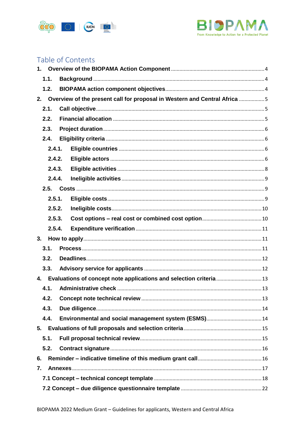



# Table of Contents

| 1.1. |        |                                                                              |  |
|------|--------|------------------------------------------------------------------------------|--|
| 1.2. |        |                                                                              |  |
|      |        | 2. Overview of the present call for proposal in Western and Central Africa 5 |  |
| 2.1. |        |                                                                              |  |
| 2.2. |        |                                                                              |  |
| 2.3. |        |                                                                              |  |
| 2.4. |        |                                                                              |  |
|      | 2.4.1. |                                                                              |  |
|      | 2.4.2. |                                                                              |  |
|      | 2.4.3. |                                                                              |  |
|      | 2.4.4. |                                                                              |  |
|      |        |                                                                              |  |
|      | 2.5.1. |                                                                              |  |
|      | 2.5.2. |                                                                              |  |
|      | 2.5.3. |                                                                              |  |
|      | 2.5.4. |                                                                              |  |
| 3.   |        |                                                                              |  |
| 3.1. |        |                                                                              |  |
| 3.2. |        |                                                                              |  |
| 3.3. |        |                                                                              |  |
|      |        | 4. Evaluations of concept note applications and selection criteria  13       |  |
| 4.1. |        |                                                                              |  |
| 4.2. |        |                                                                              |  |
| 4.3. |        |                                                                              |  |
| 4.4. |        |                                                                              |  |
|      |        |                                                                              |  |
| 5.1. |        |                                                                              |  |
| 5.2. |        |                                                                              |  |
| 6.   |        |                                                                              |  |
| 7.   |        |                                                                              |  |
|      |        |                                                                              |  |
|      |        |                                                                              |  |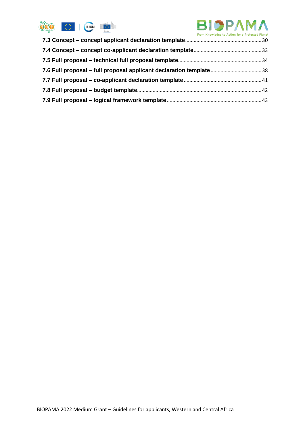

# **BIOPAM** From Knowledge to Action for a Protected Planet

| 7.6 Full proposal – full proposal applicant declaration template38 |  |
|--------------------------------------------------------------------|--|
|                                                                    |  |
|                                                                    |  |
|                                                                    |  |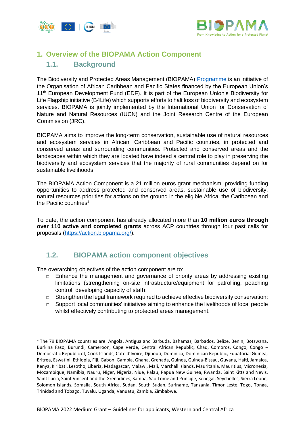



# <span id="page-3-1"></span><span id="page-3-0"></span>**1. Overview of the BIOPAMA Action Component**

# **1.1. Background**

The Biodiversity and Protected Areas Management (BIOPAMA) [Programme](https://biopama.org/) is an initiative of the Organisation of African Caribbean and Pacific States financed by the European Union's 11<sup>th</sup> European Development Fund (EDF). It is part of the European Union's Biodiversity for Life Flagship initiative (B4Life) which supports efforts to halt loss of biodiversity and ecosystem services. BIOPAMA is jointly implemented by the International Union for Conservation of Nature and Natural Resources (IUCN) and the Joint Research Centre of the European Commission (JRC).

BIOPAMA aims to improve the long-term conservation, sustainable use of natural resources and ecosystem services in African, Caribbean and Pacific countries, in protected and conserved areas and surrounding communities. Protected and conserved areas and the landscapes within which they are located have indeed a central role to play in preserving the biodiversity and ecosystem services that the majority of rural communities depend on for sustainable livelihoods.

The BIOPAMA Action Component is a 21 million euros grant mechanism, providing funding opportunities to address protected and conserved areas, sustainable use of biodiversity, natural resources priorities for actions on the ground in the eligible Africa, the Caribbean and the Pacific countries<sup>1</sup>.

To date, the action component has already allocated more than **10 million euros through over 110 active and completed grants** across ACP countries through four past calls for proposals [\(https://action.biopama.org/\)](https://action.biopama.org/).

#### <span id="page-3-2"></span>**1.2. BIOPAMA action component objectives**

The overarching objectives of the action component are to:

 $\overline{a}$ 

- □ Enhance the management and governance of priority areas by addressing existing limitations (strengthening on-site infrastructure/equipment for patrolling, poaching control, developing capacity of staff);
- □ Strengthen the legal framework required to achieve effective biodiversity conservation;
- $\Box$  Support local communities' initiatives aiming to enhance the livelihoods of local people whilst effectively contributing to protected areas management.

<sup>&</sup>lt;sup>1</sup> The 79 BIOPAMA countries are: Angola, Antigua and Barbuda, Bahamas, Barbados, Belize, Benin, Botswana, Burkina Faso, Burundi, Cameroon, Cape Verde, Central African Republic, Chad, Comoros, Congo, Congo – Democratic Republic of, Cook Islands, Cote d'Ivoire, Djibouti, Dominica, Dominican Republic, Equatorial Guinea, Eritrea, Eswatini, Ethiopia, Fiji, Gabon, Gambia, Ghana, Grenada, Guinea, Guinea-Bissau, Guyana, Haiti, Jamaica, Kenya, Kiribati, Lesotho, Liberia, Madagascar, Malawi, Mali, Marshall Islands, Mauritania, Mauritius, Micronesia, Mozambique, Namibia, Nauru, Niger, Nigeria, Niue, Palau, Papua New Guinea, Rwanda, Saint Kitts and Nevis, Saint Lucia, Saint Vincent and the Grenadines, Samoa, Sao Tome and Principe, Senegal, Seychelles, Sierra Leone, Solomon Islands, Somalia, South Africa, Sudan, South Sudan, Suriname, Tanzania, Timor Leste, Togo, Tonga, Trinidad and Tobago, Tuvalu, Uganda, Vanuatu, Zambia, Zimbabwe.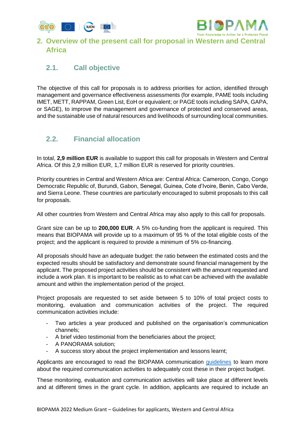



# <span id="page-4-0"></span>**2. Overview of the present call for proposal in Western and Central Africa**

# <span id="page-4-1"></span>**2.1. Call objective**

The objective of this call for proposals is to address priorities for action, identified through management and governance effectiveness assessments (for example, PAME tools including IMET, METT, RAPPAM, Green List, EoH or equivalent; or PAGE tools including SAPA, GAPA, or SAGE), to improve the management and governance of protected and conserved areas, and the sustainable use of natural resources and livelihoods of surrounding local communities.

# <span id="page-4-2"></span>**2.2. Financial allocation**

In total, **2,9 million EUR** is available to support this call for proposals in Western and Central Africa. Of this 2,9 million EUR, 1,7 million EUR is reserved for priority countries.

Priority countries in Central and Western Africa are: Central Africa: Cameroon, Congo, Congo Democratic Republic of, Burundi, Gabon, Senegal, Guinea, Cote d'Ivoire, Benin, Cabo Verde, and Sierra Leone. These countries are particularly encouraged to submit proposals to this call for proposals.

All other countries from Western and Central Africa may also apply to this call for proposals.

Grant size can be up to **200,000 EUR**. A 5% co-funding from the applicant is required. This means that BIOPAMA will provide up to a maximum of 95 % of the total eligible costs of the project; and the applicant is required to provide a minimum of 5% co-financing.

All proposals should have an adequate budget: the ratio between the estimated costs and the expected results should be satisfactory and demonstrate sound financial management by the applicant. The proposed project activities should be consistent with the amount requested and include a work plan. It is important to be realistic as to what can be achieved with the available amount and within the implementation period of the project.

Project proposals are requested to set aside between 5 to 10% of total project costs to monitoring, evaluation and communication activities of the project. The required communication activities include:

- Two articles a year produced and published on the organisation's communication channels;
- A brief video testimonial from the beneficiaries about the project;
- A PANORAMA solution;
- A success story about the project implementation and lessons learnt;

Applicants are encouraged to read the BIOPAMA communication [guidelines](https://action.biopama.org/wp-content/uploads/2021/04/BIOPAMA-Grantee-communications-guidelines_vMar2021.pdf) to learn more about the required communication activities to adequately cost these in their project budget.

These monitoring, evaluation and communication activities will take place at different levels and at different times in the grant cycle. In addition, applicants are required to include an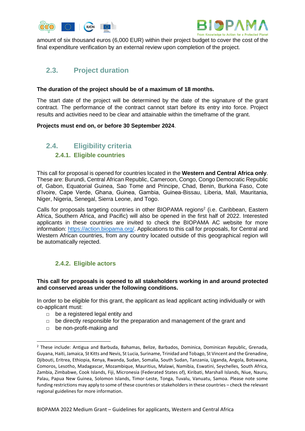



amount of six thousand euros (6,000 EUR) within their project budget to cover the cost of the final expenditure verification by an external review upon completion of the project.

# <span id="page-5-0"></span>**2.3. Project duration**

#### **The duration of the project should be of a maximum of 18 months.**

The start date of the project will be determined by the date of the signature of the grant contract. The performance of the contract cannot start before its entry into force. Project results and activities need to be clear and attainable within the timeframe of the grant.

#### **Projects must end on, or before 30 September 2024**.

#### <span id="page-5-2"></span><span id="page-5-1"></span>**2.4. Eligibility criteria 2.4.1. Eligible countries**

This call for proposal is opened for countries located in the **Western and Central Africa only**. These are: Burundi, Central African Republic, Cameroon, Congo, Congo Democratic Republic of, Gabon, Equatorial Guinea, Sao Tome and Principe, Chad, Benin, Burkina Faso, Cote d'Ivoire, Cape Verde, Ghana, Guinea, Gambia, Guinea-Bissau, Liberia, Mali, Mauritania, Niger, Nigeria, Senegal, Sierra Leone, and Togo.

Calls for proposals targeting countries in other BIOPAMA regions<sup>2</sup> (i.e. Caribbean, Eastern Africa, Southern Africa, and Pacific) will also be opened in the first half of 2022. Interested applicants in these countries are invited to check the BIOPAMA AC website for more information: [https://action.biopama.org/.](https://action.biopama.org/) Applications to this call for proposals, for Central and Western African countries, from any country located outside of this geographical region will be automatically rejected.

#### **2.4.2. Eligible actors**

#### <span id="page-5-3"></span>**This call for proposals is opened to all stakeholders working in and around protected and conserved areas under the following conditions.**

In order to be eligible for this grant, the applicant as lead applicant acting individually or with co-applicant must:

- □ be a registered legal entity and
- $\Box$  be directly responsible for the preparation and management of the grant and
- □ be non-profit-making and

1

<sup>2</sup> These include: Antigua and Barbuda, Bahamas, Belize, Barbados, Dominica, Dominican Republic, Grenada, Guyana, Haiti, Jamaica, St Kitts and Nevis, St Lucia, Suriname, Trinidad and Tobago, St Vincent and the Grenadine, Djibouti, Eritrea, Ethiopia, Kenya, Rwanda, Sudan, Somalia, South Sudan, Tanzania, Uganda, Angola, Botswana, Comoros, Lesotho, Madagascar, Mozambique, Mauritius, Malawi, Namibia, Eswatini, Seychelles, South Africa, Zambia, Zimbabwe, Cook Islands, Fiji, Micronesia (Federated States of), Kiribati, Marshall Islands, Niue, Nauru, Palau, Papua New Guinea, Solomon Islands, Timor-Leste, Tonga, Tuvalu, Vanuatu, Samoa. Please note some funding restrictions may apply to some of these countries or stakeholders in these countries – check the relevant regional guidelines for more information.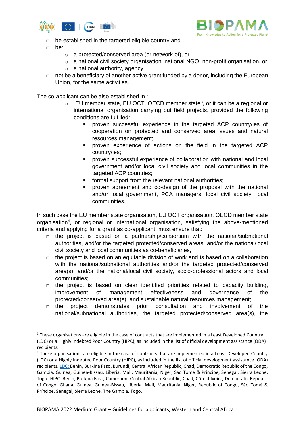



- $\Box$  be established in the targeted eligible country and
- □ be:

**.** 

- o a protected/conserved area (or network of), or
- $\circ$  a national civil society organisation, national NGO, non-profit organisation, or
- o a national authority, agency,
- □ not be a beneficiary of another active grant funded by a donor, including the European Union, for the same activities.

The co-applicant can be also established in :

- $\circ$  EU member state, EU OCT, OECD member state<sup>3</sup>, or it can be a regional or international organisation carrying out field projects, provided the following conditions are fulfilled:
	- proven successful experience in the targeted ACP country/ies of cooperation on protected and conserved area issues and natural resources management;
	- proven experience of actions on the field in the targeted ACP country/ies;
	- proven successful experience of collaboration with national and local government and/or local civil society and local communities in the targeted ACP countries;
	- formal support from the relevant national authorities;
	- proven agreement and co-design of the proposal with the national and/or local government, PCA managers, local civil society, local communities.

In such case the EU member state organisation, EU OCT organisation, OECD member state organisation<sup>4</sup>, or regional or international organisation, satisfying the above-mentioned criteria and applying for a grant as co-applicant, must ensure that:

- □ the project is based on a partnership/consortium with the national/subnational authorities, and/or the targeted protected/conserved areas, and/or the national/local civil society and local communities as co-beneficiaries,
- $\Box$  the project is based on an equitable division of work and is based on a collaboration with the national/subnational authorities and/or the targeted protected/conserved area(s), and/or the national/local civil society, socio-professional actors and local communities;
- $\Box$  the project is based on clear identified priorities related to capacity building, improvement of management effectiveness and governance of the protected/conserved area(s), and sustainable natural resources management;
- $\Box$  the project demonstrates prior consultation and involvement of the national/subnational authorities, the targeted protected/conserved area(s), the

<sup>&</sup>lt;sup>3</sup> These organisations are eligible in the case of contracts that are implemented in a Least Developed Country (LDC) or a Highly Indebted Poor Country (HIPC), as included in the list of official development assistance (ODA) recipients.

<sup>4</sup> These organisations are eligible in the case of contracts that are implemented in a Least Developed Country (LDC) or a Highly Indebted Poor Country (HIPC), as included in the list of official development assistance (ODA) recipients. LDC: Benin, Burkina Faso, Burundi, Central African Republic, Chad, Democratic Republic of the Congo, Gambia, Guinea, Guinea-Bissau, Liberia, Mali, Mauritania, Niger, Sao Tome & Principe, Senegal, Sierra Leone, Togo. HIPC: Benin, Burkina Faso, Cameroon, Central African Republic, Chad, Côte d'Ivoire, Democratic Republic of Congo, Ghana, Guinea, Guinea-Bissau, Liberia, Mali, Mauritania, Niger, Republic of Congo, São Tomé & Príncipe, Senegal, Sierra Leone, The Gambia, Togo.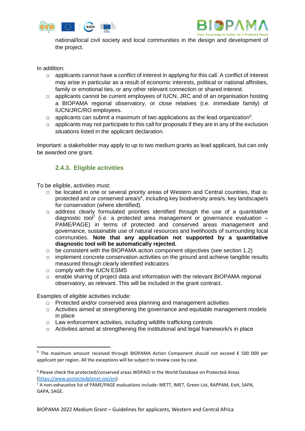



national/local civil society and local communities in the design and development of the project.

In addition:

- □ applicants cannot have a conflict of interest in applying for this call. A conflict of interest may arise in particular as a result of economic interests, political or national affinities, family or emotional ties, or any other relevant connection or shared interest.
- □ applicants cannot be current employees of IUCN, JRC and of an organisation hosting a BIOPAMA regional observatory, or close relatives (i.e. immediate family) of IUCN/JRC/RO employees.
- $\Box$  applicants can submit a maximum of two applications as the lead organization<sup>5</sup>.
- $\Box$  applicants may not participate to this call for proposals if they are in any of the exclusion situations listed in the applicant declaration.

Important: a stakeholder may apply to up to two medium grants as lead applicant, but can only be awarded one grant.

#### **2.4.3. Eligible activities**

<span id="page-7-0"></span>To be eligible, activities must:

- $\Box$  be located in one or several priority areas of Western and Central countries, that is: protected and or conserved area/s<sup>6</sup>, including key biodiversity area/s, key landscape/s for conservation (where identified).
- $\Box$  address clearly formulated priorities identified through the use of a quantitative diagnostic tool<sup>7</sup> (i.e. a protected area management or governance evaluation  $-$ PAME/PAGE) in terms of protected and conserved areas management and governance, sustainable use of natural resources and livelihoods of surrounding local communities. **Note that any application not supported by a quantitative diagnostic tool will be automatically rejected.**
- $\Box$  be consistent with the BIOPAMA action component objectives (see section 1.2)
- $\Box$  implement concrete conservation activities on the ground and achieve tangible results measured through clearly identified indicators
- □ comply with the IUCN ESMS
- □ enable sharing of project data and information with the relevant BIOPAMA regional observatory, as relevant. This will be included in the grant contract.

Examples of eligible activities include:

**.** 

- □ Protected and/or conserved area planning and management activities
- □ Activities aimed at strengthening the governance and equitable management models in place
- □ Law enforcement activities, including wildlife trafficking controls
- $\Box$  Activities aimed at strengthening the institutional and legal framework/s in place

<sup>&</sup>lt;sup>5</sup> The maximum amount received through BIOPAMA Action Component should not exceed € 500 000 per applicant per region. All the exceptions will be subject to review case by case.

<sup>6</sup> Please check the protected/conserved areas WDPAID in the World Database on Protected Areas [\(https://www.protectedplanet.net/en\)](https://www.protectedplanet.net/en).

 $7$  A non-exhaustive list of PAME/PAGE evaluations include: METT, IMET, Green List, RAPPAM, EoH, SAPA, GAPA, SAGE.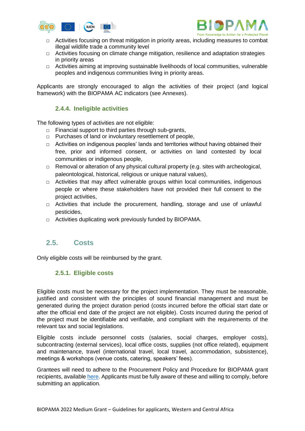



- □ Activities focusing on threat mitigation in priority areas, including measures to combat illegal wildlife trade a community level
- □ Activities focusing on climate change mitigation, resilience and adaptation strategies in priority areas
- $\Box$  Activities aiming at improving sustainable livelihoods of local communities, vulnerable peoples and indigenous communities living in priority areas.

Applicants are strongly encouraged to align the activities of their project (and logical framework) with the BIOPAMA AC indicators (see Annexes).

#### **2.4.4. Ineligible activities**

<span id="page-8-0"></span>The following types of activities are not eligible:

- □ Financial support to third parties through sub-grants,
- □ Purchases of land or involuntary resettlement of people,
- □ Activities on indigenous peoples' lands and territories without having obtained their free, prior and informed consent, or activities on land contested by local communities or indigenous people,
- □ Removal or alteration of any physical cultural property (e.g. sites with archeological, paleontological, historical, religious or unique natural values),
- □ Activities that may affect vulnerable groups within local communities, indigenous people or where these stakeholders have not provided their full consent to the project activities,
- □ Activities that include the procurement, handling, storage and use of unlawful pesticides,
- □ Activities duplicating work previously funded by BIOPAMA.

#### <span id="page-8-1"></span>**2.5. Costs**

<span id="page-8-2"></span>Only eligible costs will be reimbursed by the grant.

#### **2.5.1. Eligible costs**

Eligible costs must be necessary for the project implementation. They must be reasonable, justified and consistent with the principles of sound financial management and must be generated during the project duration period (costs incurred before the official start date or after the official end date of the project are not eligible). Costs incurred during the period of the project must be identifiable and verifiable, and compliant with the requirements of the relevant tax and social legislations.

Eligible costs include personnel costs (salaries, social charges, employer costs), subcontracting (external services), local office costs, supplies (not office related), equipment and maintenance, travel (international travel, local travel, accommodation, subsistence), meetings & workshops (venue costs, catering, speakers' fees).

Grantees will need to adhere to the Procurement Policy and Procedure for BIOPAMA grant recipients, available [here.](https://action.biopama.org/wp-content/uploads/2019/12/Procurement-policy-for-BIOPAMA-grant-recipients-1.pdf) Applicants must be fully aware of these and willing to comply, before submitting an application.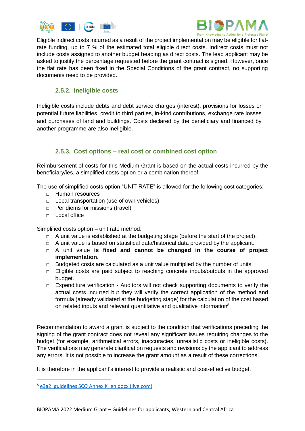



Eligible indirect costs incurred as a result of the project implementation may be eligible for flatrate funding, up to 7 % of the estimated total eligible direct costs. Indirect costs must not include costs assigned to another budget heading as direct costs. The lead applicant may be asked to justify the percentage requested before the grant contract is signed. However, once the flat rate has been fixed in the Special Conditions of the grant contract, no supporting documents need to be provided.

#### **2.5.2. Ineligible costs**

<span id="page-9-0"></span>Ineligible costs include debts and debt service charges (interest), provisions for losses or potential future liabilities, credit to third parties, in-kind contributions, exchange rate losses and purchases of land and buildings. Costs declared by the beneficiary and financed by another programme are also ineligible.

#### **2.5.3. Cost options – real cost or combined cost option**

<span id="page-9-1"></span>Reimbursement of costs for this Medium Grant is based on the actual costs incurred by the beneficiary/ies, a simplified costs option or a combination thereof.

The use of simplified costs option "UNIT RATE" is allowed for the following cost categories:

- □ Human resources
- □ Local transportation (use of own vehicles)
- □ Per diems for missions (travel)
- □ Local office

Simplified costs option – unit rate method:

- □ A unit value is established at the budgeting stage (before the start of the project).
- $\Box$  A unit value is based on statistical data/historical data provided by the applicant.
- □ A unit value **is fixed and cannot be changed in the course of project implementation**.
- $\Box$  Budgeted costs are calculated as a unit value multiplied by the number of units.
- □ Eligible costs are paid subject to reaching concrete inputs/outputs in the approved budget.
- $\Box$  Expenditure verification Auditors will not check supporting documents to verify the actual costs incurred but they will verify the correct application of the method and formula (already validated at the budgeting stage) for the calculation of the cost based on related inputs and relevant quantitative and qualitative information<sup>8</sup>.

Recommendation to award a grant is subject to the condition that verifications preceding the signing of the grant contract does not reveal any significant issues requiring changes to the budget (for example, arithmetical errors, inaccuracies, unrealistic costs or ineligible costs). The verifications may generate clarification requests and revisions by the applicant to address any errors. It is not possible to increase the grant amount as a result of these corrections.

It is therefore in the applicant's interest to provide a realistic and cost-effective budget.

 $\overline{a}$ 

<sup>&</sup>lt;sup>8</sup> [e3a2\\_guidelines SCO Annex K\\_en.docx \(live.com\)](https://view.officeapps.live.com/op/view.aspx?src=https%3A%2F%2Fwikis.ec.europa.eu%2Fdownload%2Fattachments%2F39356279%2Fe3a2_guidelines%2520SCO%2520Annex%2520K_en.docx&wdOrigin=BROWSELINK)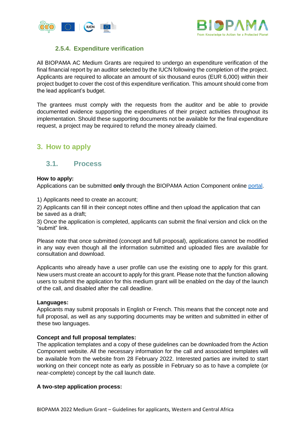



#### **2.5.4. Expenditure verification**

<span id="page-10-0"></span>All BIOPAMA AC Medium Grants are required to undergo an expenditure verification of the final financial report by an auditor selected by the IUCN following the completion of the project. Applicants are required to allocate an amount of six thousand euros (EUR 6,000) within their project budget to cover the cost of this expenditure verification. This amount should come from the lead applicant's budget.

The grantees must comply with the requests from the auditor and be able to provide documented evidence supporting the expenditures of their project activities throughout its implementation. Should these supporting documents not be available for the final expenditure request, a project may be required to refund the money already claimed.

# <span id="page-10-1"></span>**3. How to apply**

#### <span id="page-10-2"></span>**3.1. Process**

#### **How to apply:**

Applications can be submitted **only** through the BIOPAMA Action Component online [portal.](file:///C:/Users/bucioacar/AppData/Local/Microsoft/Windows/INetCache/Content.Outlook/CBFV744I/app.biopama.org)

1) Applicants need to create an account;

2) Applicants can fill in their concept notes offline and then upload the application that can be saved as a draft;

3) Once the application is completed, applicants can submit the final version and click on the "submit" link.

Please note that once submitted (concept and full proposal), applications cannot be modified in any way even though all the information submitted and uploaded files are available for consultation and download.

Applicants who already have a user profile can use the existing one to apply for this grant. New users must create an account to apply for this grant. Please note that the function allowing users to submit the application for this medium grant will be enabled on the day of the launch of the call, and disabled after the call deadline.

#### **Languages:**

Applicants may submit proposals in English or French. This means that the concept note and full proposal, as well as any supporting documents may be written and submitted in either of these two languages.

#### **Concept and full proposal templates:**

The application templates and a copy of these guidelines can be downloaded from the Action Component website. All the necessary information for the call and associated templates will be available from the website from 28 February 2022. Interested parties are invited to start working on their concept note as early as possible in February so as to have a complete (or near-complete) concept by the call launch date.

#### **A two-step application process:**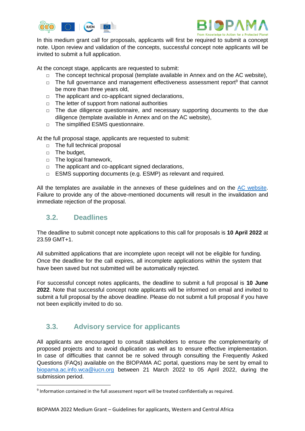



In this medium grant call for proposals, applicants will first be required to submit a concept note. Upon review and validation of the concepts, successful concept note applicants will be invited to submit a full application.

At the concept stage, applicants are requested to submit:

- □ The concept technical proposal (template available in Annex and on the AC website),
- □ The full governance and management effectiveness assessment report<sup>9</sup> that cannot be more than three years old,
- $\Box$  The applicant and co-applicant signed declarations,
- $\Box$  The letter of support from national authorities
- $\Box$  The due diligence questionnaire, and necessary supporting documents to the due diligence (template available in Annex and on the AC website),
- □ The simplified ESMS questionnaire.

At the full proposal stage, applicants are requested to submit:

- □ The full technical proposal
- □ The budget,
- □ The logical framework,
- □ The applicant and co-applicant signed declarations,
- □ ESMS supporting documents (e.g. ESMP) as relevant and required.

All the templates are available in the annexes of these guidelines and on the [AC website.](https://action.biopama.org/) Failure to provide any of the above-mentioned documents will result in the invalidation and immediate rejection of the proposal.

# <span id="page-11-0"></span>**3.2. Deadlines**

**.** 

The deadline to submit concept note applications to this call for proposals is **10 April 2022** at 23.59 GMT+1.

All submitted applications that are incomplete upon receipt will not be eligible for funding. Once the deadline for the call expires, all incomplete applications within the system that have been saved but not submitted will be automatically rejected.

For successful concept notes applicants, the deadline to submit a full proposal is **10 June 2022**. Note that successful concept note applicants will be informed on email and invited to submit a full proposal by the above deadline. Please do not submit a full proposal if you have not been explicitly invited to do so.

# <span id="page-11-1"></span>**3.3. Advisory service for applicants**

All applicants are encouraged to consult stakeholders to ensure the complementarity of proposed projects and to avoid duplication as well as to ensure effective implementation. In case of difficulties that cannot be re solved through consulting the Frequently Asked Questions (FAQs) available on the BIOPAMA AC portal, questions may be sent by email to [biopama.ac.info.wca@iucn.org](mailto:biopama.ac.info.wca@iucn.org) between 21 March 2022 to 05 April 2022, during the submission period.

<sup>&</sup>lt;sup>9</sup> Information contained in the full assessment report will be treated confidentially as required.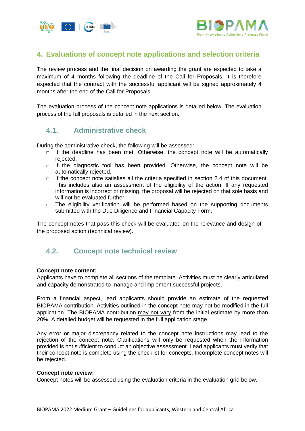



# <span id="page-12-0"></span>**4. Evaluations of concept note applications and selection criteria**

The review process and the final decision on awarding the grant are expected to take a maximum of 4 months following the deadline of the Call for Proposals. It is therefore expected that the contract with the successful applicant will be signed approximately 4 months after the end of the Call for Proposals.

The evaluation process of the concept note applications is detailed below. The evaluation process of the full proposals is detailed in the next section.

#### <span id="page-12-1"></span>**4.1. Administrative check**

During the administrative check, the following will be assessed:

- $\Box$  If the deadline has been met. Otherwise, the concept note will be automatically rejected.
- $\Box$  If the diagnostic tool has been provided. Otherwise, the concept note will be automatically rejected.
- $\Box$  If the concept note satisfies all the criteria specified in section 2.4 of this document. This includes also an assessment of the eligibility of the action. If any requested information is incorrect or missing, the proposal will be rejected on that sole basis and will not be evaluated further.
- □ The eligibility verification will be performed based on the supporting documents submitted with the Due Diligence and Financial Capacity Form.

The concept notes that pass this check will be evaluated on the relevance and design of the proposed action (technical review).

# <span id="page-12-2"></span>**4.2. Concept note technical review**

#### **Concept note content:**

Applicants have to complete all sections of the template. Activities must be clearly articulated and capacity demonstrated to manage and implement successful projects.

From a financial aspect, lead applicants should provide an estimate of the requested BIOPAMA contribution. Activities outlined in the concept note may not be modified in the full application. The BIOPAMA contribution may not vary from the initial estimate by more than 20%. A detailed budget will be requested in the full application stage.

Any error or major discrepancy related to the concept note instructions may lead to the rejection of the concept note. Clarifications will only be requested when the information provided is not sufficient to conduct an objective assessment. Lead applicants must verify that their concept note is complete using the checklist for concepts. Incomplete concept notes will be rejected.

#### **Concept note review:**

Concept notes will be assessed using the evaluation criteria in the evaluation grid below.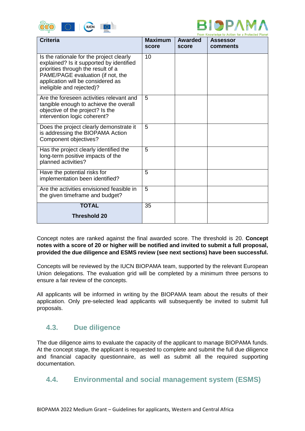



|                                                                                                                                                                                                                                   |                         |                         | From Knowledge to Action for a Protected Planet |
|-----------------------------------------------------------------------------------------------------------------------------------------------------------------------------------------------------------------------------------|-------------------------|-------------------------|-------------------------------------------------|
| <b>Criteria</b>                                                                                                                                                                                                                   | <b>Maximum</b><br>score | <b>Awarded</b><br>score | <b>Assessor</b><br>comments                     |
|                                                                                                                                                                                                                                   |                         |                         |                                                 |
| Is the rationale for the project clearly<br>explained? Is it supported by identified<br>priorities through the result of a<br>PAME/PAGE evaluation (if not, the<br>application will be considered as<br>ineligible and rejected)? | 10                      |                         |                                                 |
| Are the foreseen activities relevant and<br>tangible enough to achieve the overall<br>objective of the project? Is the<br>intervention logic coherent?                                                                            | 5                       |                         |                                                 |
| Does the project clearly demonstrate it<br>is addressing the BIOPAMA Action<br>Component objectives?                                                                                                                              | $\overline{5}$          |                         |                                                 |
| Has the project clearly identified the<br>long-term positive impacts of the<br>planned activities?                                                                                                                                | 5                       |                         |                                                 |
| Have the potential risks for<br>implementation been identified?                                                                                                                                                                   | 5                       |                         |                                                 |
| Are the activities envisioned feasible in<br>the given timeframe and budget?                                                                                                                                                      | 5                       |                         |                                                 |
| <b>TOTAL</b>                                                                                                                                                                                                                      | 35                      |                         |                                                 |
| <b>Threshold 20</b>                                                                                                                                                                                                               |                         |                         |                                                 |

Concept notes are ranked against the final awarded score. The threshold is 20. **Concept notes with a score of 20 or higher will be notified and invited to submit a full proposal, provided the due diligence and ESMS review (see next sections) have been successful.**

Concepts will be reviewed by the IUCN BIOPAMA team, supported by the relevant European Union delegations. The evaluation grid will be completed by a minimum three persons to ensure a fair review of the concepts.

All applicants will be informed in writing by the BIOPAMA team about the results of their application. Only pre-selected lead applicants will subsequently be invited to submit full proposals.

# <span id="page-13-0"></span>**4.3. Due diligence**

The due diligence aims to evaluate the capacity of the applicant to manage BIOPAMA funds. At the concept stage, the applicant is requested to complete and submit the full due diligence and financial capacity questionnaire, as well as submit all the required supporting documentation.

#### <span id="page-13-1"></span>**4.4. Environmental and social management system (ESMS)**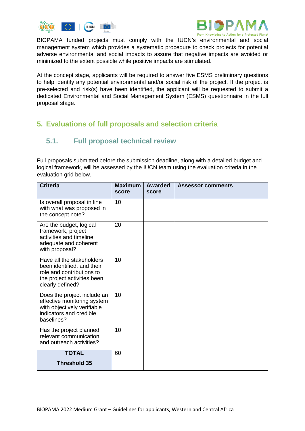



BIOPAMA funded projects must comply with the IUCN's environmental and social management system which provides a systematic procedure to check projects for potential adverse environmental and social impacts to assure that negative impacts are avoided or minimized to the extent possible while positive impacts are stimulated.

At the concept stage, applicants will be required to answer five ESMS preliminary questions to help identify any potential environmental and/or social risk of the project. If the project is pre-selected and risk(s) have been identified, the applicant will be requested to submit a dedicated Environmental and Social Management System (ESMS) questionnaire in the full proposal stage.

# <span id="page-14-0"></span>**5. Evaluations of full proposals and selection criteria**

# <span id="page-14-1"></span>**5.1. Full proposal technical review**

Full proposals submitted before the submission deadline, along with a detailed budget and logical framework, will be assessed by the IUCN team using the evaluation criteria in the evaluation grid below.

| <b>Criteria</b>                                                                                                                         | <b>Maximum</b><br>score | <b>Awarded</b><br>score | <b>Assessor comments</b> |
|-----------------------------------------------------------------------------------------------------------------------------------------|-------------------------|-------------------------|--------------------------|
| Is overall proposal in line<br>with what was proposed in<br>the concept note?                                                           | 10                      |                         |                          |
| Are the budget, logical<br>framework, project<br>activities and timeline<br>adequate and coherent<br>with proposal?                     | 20                      |                         |                          |
| Have all the stakeholders<br>been identified, and their<br>role and contributions to<br>the project activities been<br>clearly defined? | 10                      |                         |                          |
| Does the project include an<br>effective monitoring system<br>with objectively verifiable<br>indicators and credible<br>baselines?      | 10                      |                         |                          |
| Has the project planned<br>relevant communication<br>and outreach activities?                                                           | 10                      |                         |                          |
| <b>TOTAL</b><br><b>Threshold 35</b>                                                                                                     | 60                      |                         |                          |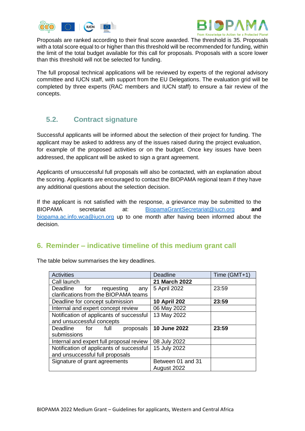



Proposals are ranked according to their final score awarded. The threshold is 35. Proposals with a total score equal to or higher than this threshold will be recommended for funding, within the limit of the total budget available for this call for proposals. Proposals with a score lower than this threshold will not be selected for funding.

The full proposal technical applications will be reviewed by experts of the regional advisory committee and IUCN staff, with support from the EU Delegations. The evaluation grid will be completed by three experts (RAC members and IUCN staff) to ensure a fair review of the concepts.

# <span id="page-15-0"></span>**5.2. Contract signature**

Successful applicants will be informed about the selection of their project for funding. The applicant may be asked to address any of the issues raised during the project evaluation, for example of the proposed activities or on the budget. Once key issues have been addressed, the applicant will be asked to sign a grant agreement.

Applicants of unsuccessful full proposals will also be contacted, with an explanation about the scoring. Applicants are encouraged to contact the BIOPAMA regional team if they have any additional questions about the selection decision.

If the applicant is not satisfied with the response, a grievance may be submitted to the BIOPAMA secretariat at: [BiopamaGrantSecretariat@iucn.org](mailto:BiopamaGrantSecretariat@iucn.org) **and** [biopama.ac.info.wca@iucn.org](mailto:biopama.ac.info.wca@iucn.org) up to one month after having been informed about the decision.

#### <span id="page-15-1"></span>**6. Reminder – indicative timeline of this medium grant call**

| <b>Activities</b>                        | <b>Deadline</b>     | Time (GMT+1) |
|------------------------------------------|---------------------|--------------|
| Call launch                              | 21 March 2022       |              |
| Deadline<br>for<br>requesting<br>any     | 5 April 2022        | 23:59        |
| clarifications from the BIOPAMA teams    |                     |              |
| Deadline for concept submission          | <b>10 April 202</b> | 23:59        |
| Internal and expert concept review       | 06 May 2022         |              |
| Notification of applicants of successful | 13 May 2022         |              |
| and unsuccessful concepts                |                     |              |
| Deadline for<br>full<br>proposals        | 10 June 2022        | 23:59        |
| submissions                              |                     |              |
| Internal and expert full proposal review | 08 July 2022        |              |
| Notification of applicants of successful | 15 July 2022        |              |
| and unsuccessful full proposals          |                     |              |
| Signature of grant agreements            | Between 01 and 31   |              |
|                                          | August 2022         |              |

The table below summarises the key deadlines.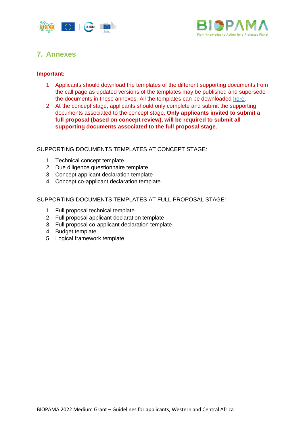



# <span id="page-16-0"></span>**7. Annexes**

#### **Important:**

- 1. Applicants should download the templates of the different supporting documents from the call page as updated versions of the templates may be published and supersede the documents in these annexes. All the templates can be downloaded [here.](https://action.biopama.org/)
- 2. At the concept stage, applicants should only complete and submit the supporting documents associated to the concept stage. **Only applicants invited to submit a full proposal (based on concept review), will be required to submit all supporting documents associated to the full proposal stage**.

#### SUPPORTING DOCUMENTS TEMPLATES AT CONCEPT STAGE:

- 1. Technical concept template
- 2. Due diligence questionnaire template
- 3. Concept applicant declaration template
- 4. Concept co-applicant declaration template

SUPPORTING DOCUMENTS TEMPLATES AT FULL PROPOSAL STAGE:

- 1. Full proposal technical template
- 2. Full proposal applicant declaration template
- 3. Full proposal co-applicant declaration template
- 4. Budget template
- 5. Logical framework template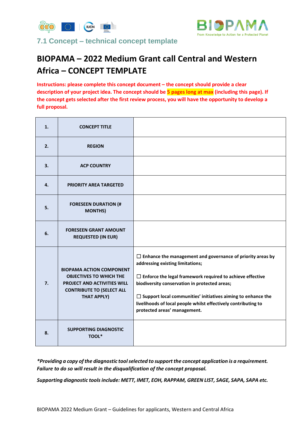



<span id="page-17-0"></span>**7.1 Concept – technical concept template**

# **BIOPAMA – 2022 Medium Grant call Central and Western Africa – CONCEPT TEMPLATE**

**Instructions: please complete this concept document – the concept should provide a clear description of your project idea. The concept should be 5 pages long at max (including this page). If the concept gets selected after the first review process, you will have the opportunity to develop a full proposal.** 

| 1. | <b>CONCEPT TITLE</b>                                                                                                                                       |                                                                                                                                                                                                                                                                                                                                                                                                     |
|----|------------------------------------------------------------------------------------------------------------------------------------------------------------|-----------------------------------------------------------------------------------------------------------------------------------------------------------------------------------------------------------------------------------------------------------------------------------------------------------------------------------------------------------------------------------------------------|
| 2. | <b>REGION</b>                                                                                                                                              |                                                                                                                                                                                                                                                                                                                                                                                                     |
| 3. | <b>ACP COUNTRY</b>                                                                                                                                         |                                                                                                                                                                                                                                                                                                                                                                                                     |
| 4. | <b>PRIORITY AREA TARGETED</b>                                                                                                                              |                                                                                                                                                                                                                                                                                                                                                                                                     |
| 5. | <b>FORESEEN DURATION (#</b><br><b>MONTHS)</b>                                                                                                              |                                                                                                                                                                                                                                                                                                                                                                                                     |
| 6. | <b>FORESEEN GRANT AMOUNT</b><br><b>REQUESTED (IN EUR)</b>                                                                                                  |                                                                                                                                                                                                                                                                                                                                                                                                     |
| 7. | <b>BIOPAMA ACTION COMPONENT</b><br><b>OBJECTIVES TO WHICH THE</b><br>PROJECT AND ACTIVITIES WILL<br><b>CONTRIBUTE TO (SELECT ALL</b><br><b>THAT APPLY)</b> | $\Box$ Enhance the management and governance of priority areas by<br>addressing existing limitations;<br>$\Box$ Enforce the legal framework required to achieve effective<br>biodiversity conservation in protected areas;<br>$\Box$ Support local communities' initiatives aiming to enhance the<br>livelihoods of local people whilst effectively contributing to<br>protected areas' management. |
| 8. | <b>SUPPORTING DIAGNOSTIC</b><br>TOOL*                                                                                                                      |                                                                                                                                                                                                                                                                                                                                                                                                     |

*\*Providing a copy of the diagnostic tool selected to support the concept application is a requirement. Failure to do so will result in the disqualification of the concept proposal.*

*Supporting diagnostic tools include: METT, IMET, EOH, RAPPAM, GREEN LIST, SAGE, SAPA, SAPA etc.*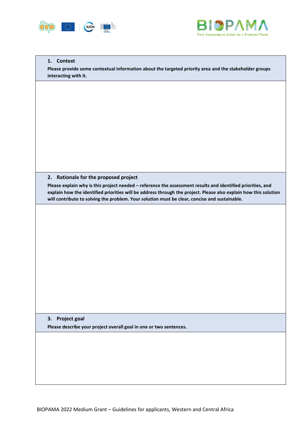



#### **1. Context**

**Please provide some contextual information about the targeted priority area and the stakeholder groups interacting with it.**

#### **2. Rationale for the proposed project**

**Please explain why is this project needed – reference the assessment results and identified priorities, and explain how the identified priorities will be address through the project. Please also explain how this solution will contribute to solving the problem. Your solution must be clear, concise and sustainable.**

**3. Project goal Please describe your project overall goal in one or two sentences.**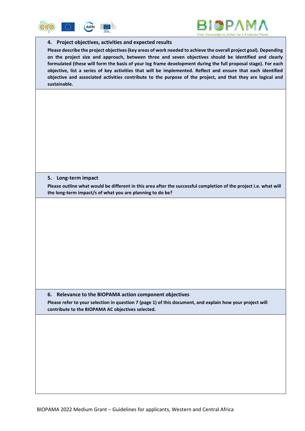



#### **4. Project objectives, activities and expected results**

**Please describe the project objectives (key areas of work needed to achieve the overall project goal). Depending on the project size and approach, between three and seven objectives should be identified and clearly formulated (these will form the basis of your log frame development during the full proposal stage). For each objective, list a series of key activities that will be implemented. Reflect and ensure that each identified objective and associated activities contribute to the purpose of the project, and that they are logical and sustainable.**

#### **5. Long-term impact**

**Please outline what would be different in this area after the successful completion of the project i.e. what will the long-term impact/s of what you are planning to do be?**

#### **6. Relevance to the BIOPAMA action component objectives**

**Please refer to your selection in question 7 (page 1) of this document, and explain how your project will contribute to the BIOPAMA AC objectives selected.**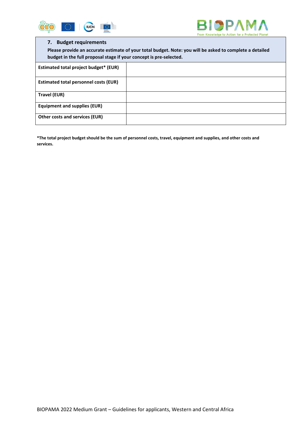



#### **7. Budget requirements**

**Please provide an accurate estimate of your total budget. Note: you will be asked to complete a detailed budget in the full proposal stage if your concept is pre-selected.**

| Estimated total project budget* (EUR)        |  |
|----------------------------------------------|--|
| <b>Estimated total personnel costs (EUR)</b> |  |
| Travel (EUR)                                 |  |
| <b>Equipment and supplies (EUR)</b>          |  |
| Other costs and services (EUR)               |  |

**\*The total project budget should be the sum of personnel costs, travel, equipment and supplies, and other costs and services.**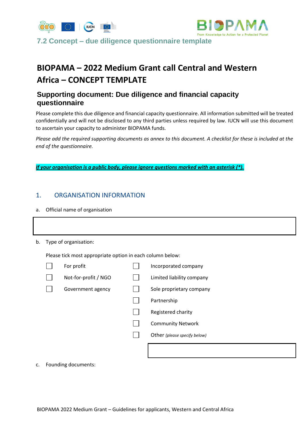



<span id="page-21-0"></span>**7.2 Concept – due diligence questionnaire template**

# **BIOPAMA – 2022 Medium Grant call Central and Western Africa – CONCEPT TEMPLATE**

# **Supporting document: Due diligence and financial capacity questionnaire**

Please complete this due diligence and financial capacity questionnaire. All information submitted will be treated confidentially and will not be disclosed to any third parties unless required by law. IUCN will use this document to ascertain your capacity to administer BIOPAMA funds.

*Please add the required supporting documents as annex to this document. A checklist for these is included at the end of the questionnaire.*

*If your organisation is a public body, please ignore questions marked with an asterisk (\*).*

#### 1. ORGANISATION INFORMATION

a. Official name of organisation

| b. |  |  | Type of organisation: |
|----|--|--|-----------------------|
|----|--|--|-----------------------|

Please tick most appropriate option in each column below:

| For profit           | Incorporated company         |
|----------------------|------------------------------|
| Not-for-profit / NGO | Limited liability company    |
| Government agency    | Sole proprietary company     |
|                      | Partnership                  |
|                      | Registered charity           |
|                      | <b>Community Network</b>     |
|                      | Other (please specify below) |
|                      |                              |
|                      |                              |

c. Founding documents: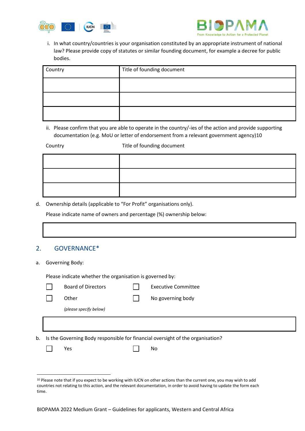



i. In what country/countries is your organisation constituted by an appropriate instrument of national law? Please provide copy of statutes or similar founding document, for example a decree for public bodies.

| Country | Title of founding document |
|---------|----------------------------|
|         |                            |
|         |                            |
|         |                            |

ii. Please confirm that you are able to operate in the country/-ies of the action and provide supporting documentation (e.g. MoU or letter of endorsement from a relevant government agency)10

Country **Title of founding document** 

d. Ownership details (applicable to "For Profit" organisations only).

Please indicate name of owners and percentage (%) ownership below:

#### 2. GOVERNANCE\*

a. Governing Body:

**.** 

Please indicate whether the organisation is governed by:

|    | <b>Board of Directors</b> | <b>Executive Committee</b>                                                     |
|----|---------------------------|--------------------------------------------------------------------------------|
|    | Other                     | No governing body                                                              |
|    | (please specify below)    |                                                                                |
|    |                           |                                                                                |
| b. |                           | Is the Governing Body responsible for financial oversight of the organisation? |
|    | Yes                       | No                                                                             |

<sup>&</sup>lt;sup>10</sup> Please note that if you expect to be working with IUCN on other actions than the current one, you may wish to add countries not relating to this action, and the relevant documentation, in order to avoid having to update the form each time.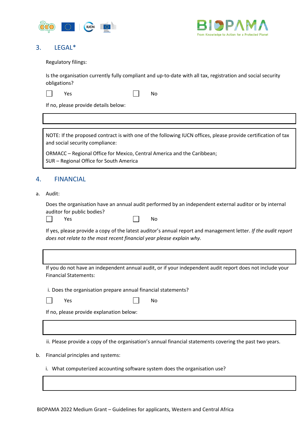



#### 3. LEGAL\*

Regulatory filings:

Is the organisation currently fully compliant and up-to-date with all tax, registration and social security obligations?

|--|--|

Yes No

If no, please provide details below:

NOTE: If the proposed contract is with one of the following IUCN offices, please provide certification of tax and social security compliance:

ORMACC – Regional Office for Mexico, Central America and the Caribbean; SUR – Regional Office for South America

#### 4. FINANCIAL

a. Audit:

Does the organisation have an annual audit performed by an independent external auditor or by internal auditor for public bodies?

|  | Voc |  |
|--|-----|--|
|--|-----|--|

| Yes |  | No |
|-----|--|----|
|-----|--|----|

If yes, please provide a copy of the latest auditor's annual report and management letter. *If the audit report does not relate to the most recent financial year please explain why.*

If you do not have an independent annual audit, or if your independent audit report does not include your Financial Statements:

i. Does the organisation prepare annual financial statements?

Yes No

If no, please provide explanation below:

ii. Please provide a copy of the organisation's annual financial statements covering the past two years.

b. Financial principles and systems:

i. What computerized accounting software system does the organisation use?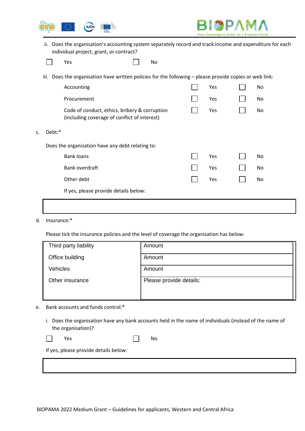



ii. Does the organisation's accounting system separately record and track income and expenditure for each individual project, grant, or contract?

| I<br>Voc<br>es<br>-- | No |
|----------------------|----|
|----------------------|----|

iii. Does the organisation have written policies for the following – please provide copies or web link:

|    |        | Accounting                                                                                    | Yes | No |
|----|--------|-----------------------------------------------------------------------------------------------|-----|----|
|    |        | Procurement                                                                                   | Yes | No |
|    |        | Code of conduct, ethics, bribery & corruption<br>(including coverage of conflict of interest) | Yes | No |
| c. | Debt:* |                                                                                               |     |    |
|    |        | Does the organization have any debt relating to:                                              |     |    |
|    |        | <b>Bank loans</b>                                                                             | Yes | No |
|    |        | Bank overdraft                                                                                | Yes | No |
|    |        | Other debt                                                                                    | Yes | No |
|    |        | If yes, please provide details below:                                                         |     |    |
|    |        |                                                                                               |     |    |

d. Insurance:\*

Please tick the insurance policies and the level of coverage the organisation has below:

| Third party liability | Amount                  |
|-----------------------|-------------------------|
| Office building       | Amount                  |
| <b>Vehicles</b>       | Amount                  |
| Other insurance       | Please provide details: |
|                       |                         |

- e. Bank accounts and funds control:\*
	- i. Does the organisation have any bank accounts held in the name of individuals (instead of the name of the organisation)?

 $\overline{\phantom{a}}$ 

Yes No

If yes, please provide details below: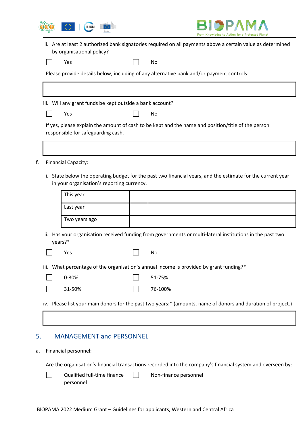



ii. Are at least 2 authorized bank signatories required on all payments above a certain value as determined by organisational policy?

Yes No

Please provide details below, including of any alternative bank and/or payment controls:

iii. Will any grant funds be kept outside a bank account?

| $\overline{\phantom{a}}$<br>Yes | No |
|---------------------------------|----|
|---------------------------------|----|

If yes, please explain the amount of cash to be kept and the name and position/title of the person responsible for safeguarding cash.

- f. Financial Capacity:
	- i. State below the operating budget for the past two financial years, and the estimate for the current year in your organisation's reporting currency.

| This year     |  |
|---------------|--|
| Last year     |  |
| Two years ago |  |

- ii. Has your organisation received funding from governments or multi-lateral institutions in the past two years?\*
	-

| Yes |  | No |
|-----|--|----|
|-----|--|----|

iii. What percentage of the organisation's annual income is provided by grant funding?\*

| $\Box$ 0-30%  | $\vert$ 51-75%    |
|---------------|-------------------|
| $\Box$ 31-50% | $\vert$   76-100% |

iv. Please list your main donors for the past two years:\* (amounts, name of donors and duration of project.)

#### 5. MANAGEMENT and PERSONNEL

#### a. Financial personnel:

 $\mathbf{I}$ 

Are the organisation's financial transactions recorded into the company's financial system and overseen by:

Qualified full-time finance  $\Box$ Non-finance personnelpersonnel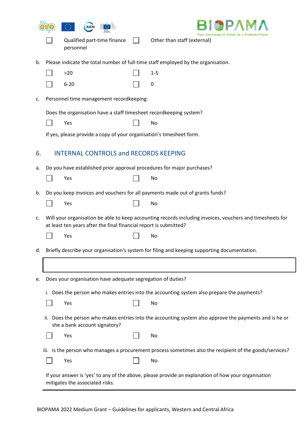|    | <b>IUCN</b>                                                              |                                                                                                                 |
|----|--------------------------------------------------------------------------|-----------------------------------------------------------------------------------------------------------------|
|    | Qualified part-time finance<br>personnel                                 | From Knowledge to Action for a Protected<br>Other than staff (external)                                         |
| b. |                                                                          | Please indicate the total number of full-time staff employed by the organisation.                               |
|    | >20                                                                      | $1 - 5$                                                                                                         |
|    | $6 - 20$                                                                 | 0                                                                                                               |
| c. | Personnel time management recordkeeping:                                 |                                                                                                                 |
|    | Does the organisation have a staff timesheet recordkeeping system?       |                                                                                                                 |
|    | Yes                                                                      | No                                                                                                              |
|    | If yes, please provide a copy of your organisation's timesheet form.     |                                                                                                                 |
| 6. | <b>INTERNAL CONTROLS and RECORDS KEEPING</b>                             |                                                                                                                 |
| а. | Do you have established prior approval procedures for major purchases?   |                                                                                                                 |
|    | Yes                                                                      | No                                                                                                              |
| b. | Yes                                                                      | Do you keep invoices and vouchers for all payments made out of grants funds?<br>No                              |
| c. | at least ten years after the final financial report is submitted?<br>Yes | Will your organisation be able to keep accounting records including invoices, vouchers and timesheets for<br>No |
| d. |                                                                          | Briefly describe your organisation's system for filing and keeping supporting documentation.                    |
|    |                                                                          |                                                                                                                 |
| e. | Does your organisation have adequate segregation of duties?              |                                                                                                                 |
|    |                                                                          | i. Does the person who makes entries into the accounting system also prepare the payments?                      |
|    | Yes                                                                      | No                                                                                                              |
|    | she a bank account signatory?                                            | ii. Does the person who makes entries into the accounting system also approve the payments and is he or         |
|    | Yes                                                                      | No                                                                                                              |
|    |                                                                          | iii. Is the person who manages a procurement process sometimes also the recipient of the goods/services?        |
|    | Yes                                                                      | No                                                                                                              |
|    | mitigates the associated risks.                                          | If your answer is 'yes' to any of the above, please provide an explanation of how your organisation             |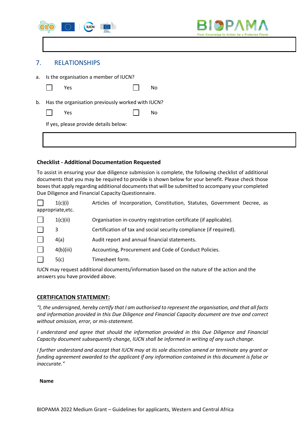|    | $\mathbb{O}$<br><b>IUCN</b><br>$\bigcirc\limits_{\substack{\text{hyperb}\\\text{Corrissim}}}$ |    | BIOPAMA<br>From Knowledge to Action for a Protected Planet |
|----|-----------------------------------------------------------------------------------------------|----|------------------------------------------------------------|
|    |                                                                                               |    |                                                            |
| 7. | <b>RELATIONSHIPS</b>                                                                          |    |                                                            |
| а. | Is the organisation a member of IUCN?                                                         |    |                                                            |
|    | Yes                                                                                           | No |                                                            |
| b. | Has the organisation previously worked with IUCN?                                             |    |                                                            |
|    | Yes                                                                                           | No |                                                            |
|    | If yes, please provide details below:                                                         |    |                                                            |
|    |                                                                                               |    |                                                            |

#### **Checklist - Additional Documentation Requested**

To assist in ensuring your due diligence submission is complete, the following checklist of additional documents that you may be required to provide is shown below for your benefit. Please check those boxes that apply regarding additional documents that will be submitted to accompany your completed Due Diligence and Financial Capacity Questionnaire.

| 1(c)(i)           | Articles of Incorporation, Constitution, Statutes, Government Decree, as |  |  |  |
|-------------------|--------------------------------------------------------------------------|--|--|--|
| appropriate, etc. |                                                                          |  |  |  |

| 1(c)(ii)  | Organisation in-country registration certificate (if applicable).  |
|-----------|--------------------------------------------------------------------|
| 3         | Certification of tax and social security compliance (if required). |
| 4(a)      | Audit report and annual financial statements.                      |
| 4(b)(iii) | Accounting, Procurement and Code of Conduct Policies.              |
| 5(c)      | Timesheet form.                                                    |

IUCN may request additional documents/information based on the nature of the action and the answers you have provided above.

#### **CERTIFICATION STATEMENT:**

*"I, the undersigned, hereby certify that I am authorised to represent the organisation, and that all facts and information provided in this Due Diligence and Financial Capacity document are true and correct without omission, error, or mis-statement.* 

*I understand and agree that should the information provided in this Due Diligence and Financial Capacity document subsequently change, IUCN shall be informed in writing of any such change.* 

*I further understand and accept that IUCN may at its sole discretion amend or terminate any grant or funding agreement awarded to the applicant if any information contained in this document is false or inaccurate."*

**Name**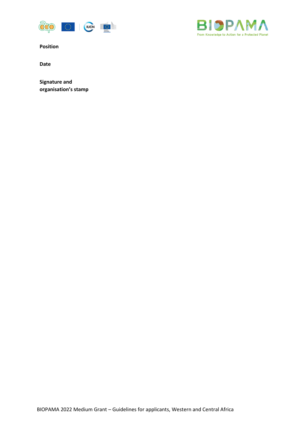



**Position**

**Date**

**Signature and organisation's stamp**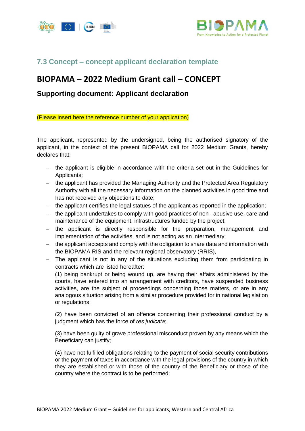



# <span id="page-29-0"></span>**7.3 Concept – concept applicant declaration template**

# **BIOPAMA – 2022 Medium Grant call – CONCEPT**

#### **Supporting document: Applicant declaration**

(Please insert here the reference number of your application)

The applicant, represented by the undersigned, being the authorised signatory of the applicant, in the context of the present BIOPAMA call for 2022 Medium Grants, hereby declares that:

- − the applicant is eligible in accordance with the criteria set out in the Guidelines for Applicants;
- − the applicant has provided the Managing Authority and the Protected Area Regulatory Authority with all the necessary information on the planned activities in good time and has not received any objections to date;
- − the applicant certifies the legal statues of the applicant as reported in the application;
- − the applicant undertakes to comply with good practices of non –abusive use, care and maintenance of the equipment, infrastructures funded by the project;
- − the applicant is directly responsible for the preparation, management and implementation of the activities, and is not acting as an intermediary;
- − the applicant accepts and comply with the obligation to share data and information with the BIOPAMA RIS and the relevant regional observatory (RRIS),
- − The applicant is not in any of the situations excluding them from participating in contracts which are listed hereafter:

(1) being bankrupt or being wound up, are having their affairs administered by the courts, have entered into an arrangement with creditors, have suspended business activities, are the subject of proceedings concerning those matters, or are in any analogous situation arising from a similar procedure provided for in national legislation or regulations;

(2) have been convicted of an offence concerning their professional conduct by a judgment which has the force of *res judicata*;

(3) have been guilty of grave professional misconduct proven by any means which the Beneficiary can justify;

(4) have not fulfilled obligations relating to the payment of social security contributions or the payment of taxes in accordance with the legal provisions of the country in which they are established or with those of the country of the Beneficiary or those of the country where the contract is to be performed;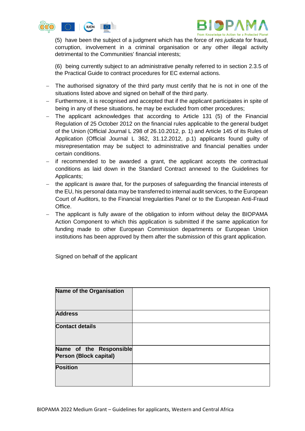



(5) have been the subject of a judgment which has the force of *res judicata* for fraud, corruption, involvement in a criminal organisation or any other illegal activity detrimental to the Communities' financial interests;

(6) being currently subject to an administrative penalty referred to in section 2.3.5 of the Practical Guide to contract procedures for EC external actions.

- − The authorised signatory of the third party must certify that he is not in one of the situations listed above and signed on behalf of the third party.
- − Furthermore, it is recognised and accepted that if the applicant participates in spite of being in any of these situations, he may be excluded from other procedures;
- − The applicant acknowledges that according to Article 131 (5) of the Financial Regulation of 25 October 2012 on the financial rules applicable to the general budget of the Union (Official Journal L 298 of 26.10.2012, p. 1) and Article 145 of its Rules of Application (Official Journal L 362, 31.12.2012, p.1) applicants found guilty of misrepresentation may be subject to administrative and financial penalties under certain conditions.
- if recommended to be awarded a grant, the applicant accepts the contractual conditions as laid down in the Standard Contract annexed to the Guidelines for Applicants;
- the applicant is aware that, for the purposes of safeguarding the financial interests of the EU, his personal data may be transferred to internal audit services, to the European Court of Auditors, to the Financial Irregularities Panel or to the European Anti-Fraud Office.
- − The applicant is fully aware of the obligation to inform without delay the BIOPAMA Action Component to which this application is submitted if the same application for funding made to other European Commission departments or European Union institutions has been approved by them after the submission of this grant application.

Signed on behalf of the applicant

| <b>Name of the Organisation</b>                          |  |
|----------------------------------------------------------|--|
| <b>Address</b>                                           |  |
| <b>Contact details</b>                                   |  |
| Name of the Responsible<br><b>Person (Block capital)</b> |  |
| <b>Position</b>                                          |  |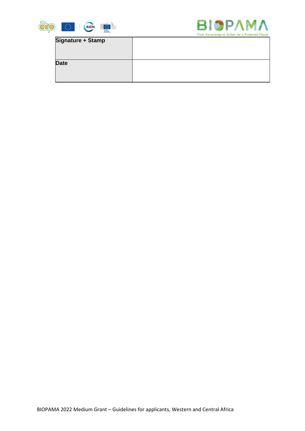



# **Signature + Stamp**

| <b>Date</b> |  |
|-------------|--|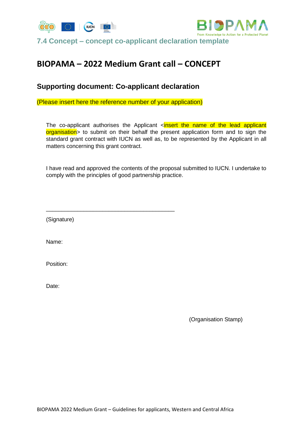



<span id="page-32-0"></span>**7.4 Concept – concept co-applicant declaration template**

# **BIOPAMA – 2022 Medium Grant call – CONCEPT**

# **Supporting document: Co-applicant declaration**

(Please insert here the reference number of your application)

The co-applicant authorises the Applicant  $\le$  insert the name of the lead applicant organisation> to submit on their behalf the present application form and to sign the standard grant contract with IUCN as well as, to be represented by the Applicant in all matters concerning this grant contract.

I have read and approved the contents of the proposal submitted to IUCN. I undertake to comply with the principles of good partnership practice.

\_\_\_\_\_\_\_\_\_\_\_\_\_\_\_\_\_\_\_\_\_\_\_\_\_\_\_\_\_\_\_\_\_\_\_\_\_\_\_\_\_

(Signature)

Name:

Position:

Date:

(Organisation Stamp)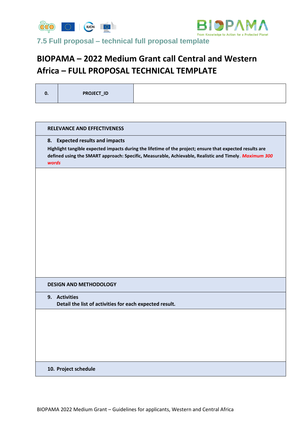



<span id="page-33-0"></span>**7.5 Full proposal – technical full proposal template**

# **BIOPAMA – 2022 Medium Grant call Central and Western Africa – FULL PROPOSAL TECHNICAL TEMPLATE**

# **RELEVANCE AND EFFECTIVENESS 8. Expected results and impacts Highlight tangible expected impacts during the lifetime of the project; ensure that expected results are defined using the SMART approach: Specific, Measurable, Achievable, Realistic and Timely**. *Maximum 300 words* **DESIGN AND METHODOLOGY 9. Activities Detail the list of activities for each expected result. 10. Project schedule**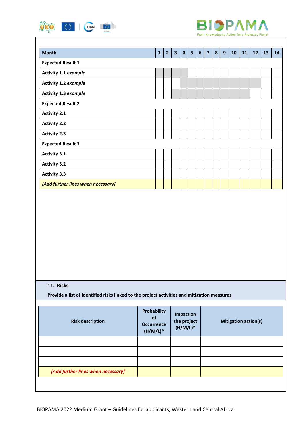



| <b>Month</b>                       | $\mathbf{1}$ | $\overline{2}$ | $\overline{\mathbf{3}}$ | $\overline{4}$ | 5 | 6 | $\overline{7}$ | 8 | 9 | 10 | 11 | 12 | 13 | 14 |
|------------------------------------|--------------|----------------|-------------------------|----------------|---|---|----------------|---|---|----|----|----|----|----|
| <b>Expected Result 1</b>           |              |                |                         |                |   |   |                |   |   |    |    |    |    |    |
| Activity 1.1 example               |              |                |                         |                |   |   |                |   |   |    |    |    |    |    |
| Activity 1.2 example               |              |                |                         |                |   |   |                |   |   |    |    |    |    |    |
| Activity 1.3 example               |              |                |                         |                |   |   |                |   |   |    |    |    |    |    |
| <b>Expected Result 2</b>           |              |                |                         |                |   |   |                |   |   |    |    |    |    |    |
| <b>Activity 2.1</b>                |              |                |                         |                |   |   |                |   |   |    |    |    |    |    |
| <b>Activity 2.2</b>                |              |                |                         |                |   |   |                |   |   |    |    |    |    |    |
| <b>Activity 2.3</b>                |              |                |                         |                |   |   |                |   |   |    |    |    |    |    |
| <b>Expected Result 3</b>           |              |                |                         |                |   |   |                |   |   |    |    |    |    |    |
| <b>Activity 3.1</b>                |              |                |                         |                |   |   |                |   |   |    |    |    |    |    |
| <b>Activity 3.2</b>                |              |                |                         |                |   |   |                |   |   |    |    |    |    |    |
| <b>Activity 3.3</b>                |              |                |                         |                |   |   |                |   |   |    |    |    |    |    |
| [Add further lines when necessary] |              |                |                         |                |   |   |                |   |   |    |    |    |    |    |

#### **11. Risks**

**Provide a list of identified risks linked to the project activities and mitigation measures**

| <b>Risk description</b>            | Probability<br><b>of</b><br><b>Occurrence</b><br>$(H/M/L)^*$ | Impact on<br>the project<br>$(H/M/L)*$ | <b>Mitigation action(s)</b> |
|------------------------------------|--------------------------------------------------------------|----------------------------------------|-----------------------------|
|                                    |                                                              |                                        |                             |
|                                    |                                                              |                                        |                             |
|                                    |                                                              |                                        |                             |
| [Add further lines when necessary] |                                                              |                                        |                             |
|                                    |                                                              |                                        |                             |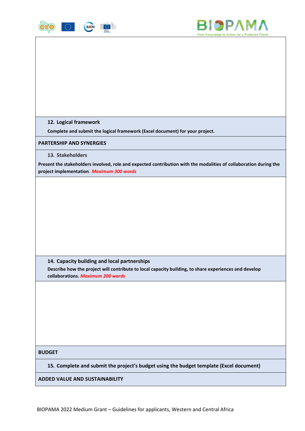



**12. Logical framework**

**Complete and submit the logical framework (Excel document) for your project.**

**PARTERSHIP AND SYNERGIES**

**13. Stakeholders** 

**Present the stakeholders involved, role and expected contribution with the modalities of collaboration during the project implementation***. Maximum 300 words*

**14. Capacity building and local partnerships**

**Describe how the project will contribute to local capacity building, to share experiences and develop collaborations.** *Maximum 200 words*

**BUDGET**

**15. Complete and submit the project's budget using the budget template (Excel document)**

**ADDED VALUE AND SUSTAINABILITY**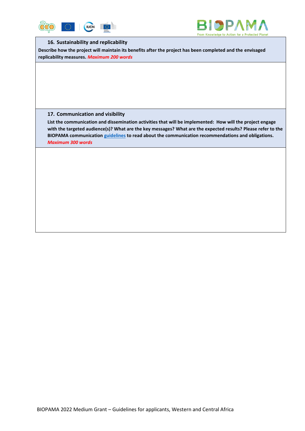



#### **16. Sustainability and replicability**

**Describe how the project will maintain its benefits after the project has been completed and the envisaged replicability measures.** *Maximum 200 words*

#### **17. Communication and visibility**

**List the communication and dissemination activities that will be implemented: How will the project engage with the targeted audience(s)? What are the key messages? What are the expected results? Please refer to the BIOPAMA communication [guidelines](https://action.biopama.org/wp-content/uploads/2021/04/BIOPAMA-Grantee-communications-guidelines_vMar2021.pdf) to read about the communication recommendations and obligations.** *Maximum 300 words*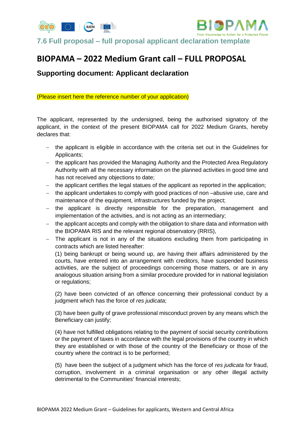

<span id="page-37-0"></span>**7.6 Full proposal – full proposal applicant declaration template**

# **BIOPAMA – 2022 Medium Grant call – FULL PROPOSAL**

# **Supporting document: Applicant declaration**

(Please insert here the reference number of your application)

The applicant, represented by the undersigned, being the authorised signatory of the applicant, in the context of the present BIOPAMA call for 2022 Medium Grants, hereby declares that:

- − the applicant is eligible in accordance with the criteria set out in the Guidelines for Applicants;
- − the applicant has provided the Managing Authority and the Protected Area Regulatory Authority with all the necessary information on the planned activities in good time and has not received any objections to date;
- − the applicant certifies the legal statues of the applicant as reported in the application;
- − the applicant undertakes to comply with good practices of non –abusive use, care and maintenance of the equipment, infrastructures funded by the project;
- − the applicant is directly responsible for the preparation, management and implementation of the activities, and is not acting as an intermediary;
- − the applicant accepts and comply with the obligation to share data and information with the BIOPAMA RIS and the relevant regional observatory (RRIS),
- − The applicant is not in any of the situations excluding them from participating in contracts which are listed hereafter:

(1) being bankrupt or being wound up, are having their affairs administered by the courts, have entered into an arrangement with creditors, have suspended business activities, are the subject of proceedings concerning those matters, or are in any analogous situation arising from a similar procedure provided for in national legislation or regulations;

(2) have been convicted of an offence concerning their professional conduct by a judgment which has the force of *res judicata*;

(3) have been guilty of grave professional misconduct proven by any means which the Beneficiary can justify;

(4) have not fulfilled obligations relating to the payment of social security contributions or the payment of taxes in accordance with the legal provisions of the country in which they are established or with those of the country of the Beneficiary or those of the country where the contract is to be performed;

(5) have been the subject of a judgment which has the force of *res judicata* for fraud, corruption, involvement in a criminal organisation or any other illegal activity detrimental to the Communities' financial interests;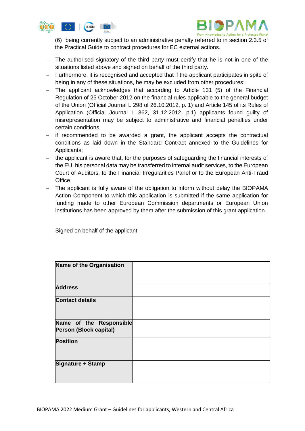



(6) being currently subject to an administrative penalty referred to in section 2.3.5 of the Practical Guide to contract procedures for EC external actions.

- − The authorised signatory of the third party must certify that he is not in one of the situations listed above and signed on behalf of the third party.
- − Furthermore, it is recognised and accepted that if the applicant participates in spite of being in any of these situations, he may be excluded from other procedures;
- − The applicant acknowledges that according to Article 131 (5) of the Financial Regulation of 25 October 2012 on the financial rules applicable to the general budget of the Union (Official Journal L 298 of 26.10.2012, p. 1) and Article 145 of its Rules of Application (Official Journal L 362, 31.12.2012, p.1) applicants found guilty of misrepresentation may be subject to administrative and financial penalties under certain conditions.
- − if recommended to be awarded a grant, the applicant accepts the contractual conditions as laid down in the Standard Contract annexed to the Guidelines for Applicants;
- − the applicant is aware that, for the purposes of safeguarding the financial interests of the EU, his personal data may be transferred to internal audit services, to the European Court of Auditors, to the Financial Irregularities Panel or to the European Anti-Fraud Office.
- − The applicant is fully aware of the obligation to inform without delay the BIOPAMA Action Component to which this application is submitted if the same application for funding made to other European Commission departments or European Union institutions has been approved by them after the submission of this grant application.

Signed on behalf of the applicant

| <b>Name of the Organisation</b>                   |  |
|---------------------------------------------------|--|
| <b>Address</b>                                    |  |
| <b>Contact details</b>                            |  |
| Name of the Responsible<br>Person (Block capital) |  |
| <b>Position</b>                                   |  |
| Signature + Stamp                                 |  |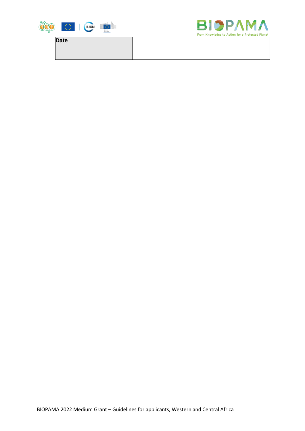

**Date**

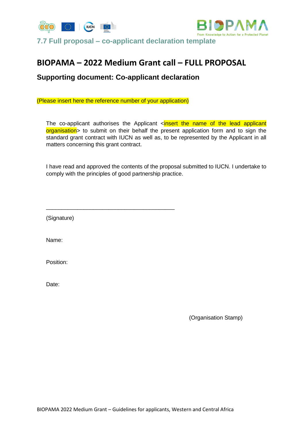



<span id="page-40-0"></span>**7.7 Full proposal – co-applicant declaration template**

# **BIOPAMA – 2022 Medium Grant call – FULL PROPOSAL**

# **Supporting document: Co-applicant declaration**

(Please insert here the reference number of your application)

The co-applicant authorises the Applicant  $\le$  insert the name of the lead applicant organisation> to submit on their behalf the present application form and to sign the standard grant contract with IUCN as well as, to be represented by the Applicant in all matters concerning this grant contract.

I have read and approved the contents of the proposal submitted to IUCN. I undertake to comply with the principles of good partnership practice.

\_\_\_\_\_\_\_\_\_\_\_\_\_\_\_\_\_\_\_\_\_\_\_\_\_\_\_\_\_\_\_\_\_\_\_\_\_\_\_\_\_

(Signature)

Name:

Position:

Date:

(Organisation Stamp)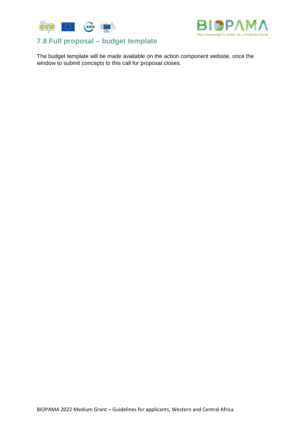



# <span id="page-41-0"></span>**7.8 Full proposal – budget template**

The budget template will be made available on the action component website, once the window to submit concepts to this call for proposal closes.